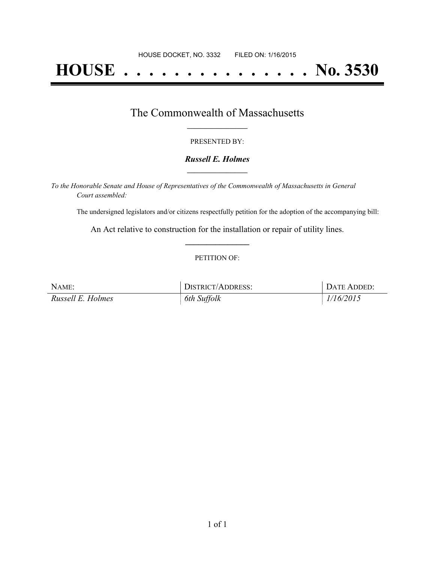# **HOUSE . . . . . . . . . . . . . . . No. 3530**

### The Commonwealth of Massachusetts **\_\_\_\_\_\_\_\_\_\_\_\_\_\_\_\_\_**

#### PRESENTED BY:

#### *Russell E. Holmes* **\_\_\_\_\_\_\_\_\_\_\_\_\_\_\_\_\_**

*To the Honorable Senate and House of Representatives of the Commonwealth of Massachusetts in General Court assembled:*

The undersigned legislators and/or citizens respectfully petition for the adoption of the accompanying bill:

An Act relative to construction for the installation or repair of utility lines. **\_\_\_\_\_\_\_\_\_\_\_\_\_\_\_**

#### PETITION OF:

| NAME:             | DISTRICT/ADDRESS: | DATE ADDED: |
|-------------------|-------------------|-------------|
| Russell E. Holmes | 6th Suffolk       | 1/16/2015   |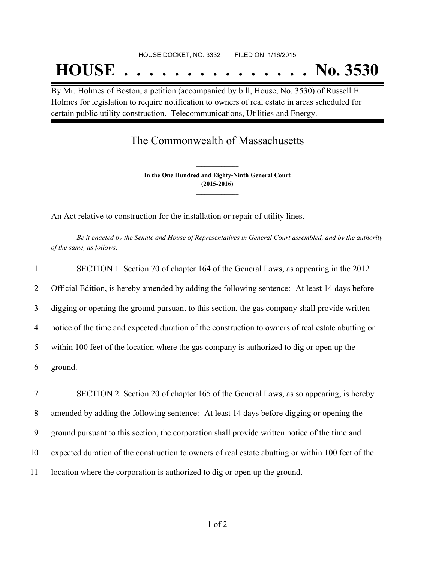## **HOUSE . . . . . . . . . . . . . . . No. 3530**

By Mr. Holmes of Boston, a petition (accompanied by bill, House, No. 3530) of Russell E. Holmes for legislation to require notification to owners of real estate in areas scheduled for certain public utility construction. Telecommunications, Utilities and Energy.

## The Commonwealth of Massachusetts

**In the One Hundred and Eighty-Ninth General Court (2015-2016) \_\_\_\_\_\_\_\_\_\_\_\_\_\_\_**

**\_\_\_\_\_\_\_\_\_\_\_\_\_\_\_**

An Act relative to construction for the installation or repair of utility lines.

Be it enacted by the Senate and House of Representatives in General Court assembled, and by the authority *of the same, as follows:*

| $\mathbf{1}$   | SECTION 1. Section 70 of chapter 164 of the General Laws, as appearing in the 2012                |
|----------------|---------------------------------------------------------------------------------------------------|
| $\overline{2}$ | Official Edition, is hereby amended by adding the following sentence: At least 14 days before     |
| 3              | digging or opening the ground pursuant to this section, the gas company shall provide written     |
| $\overline{4}$ | notice of the time and expected duration of the construction to owners of real estate abutting or |
| 5              | within 100 feet of the location where the gas company is authorized to dig or open up the         |
| 6              | ground.                                                                                           |
| 7              | SECTION 2. Section 20 of chapter 165 of the General Laws, as so appearing, is hereby              |

8 amended by adding the following sentence:- At least 14 days before digging or opening the

9 ground pursuant to this section, the corporation shall provide written notice of the time and

10 expected duration of the construction to owners of real estate abutting or within 100 feet of the

11 location where the corporation is authorized to dig or open up the ground.